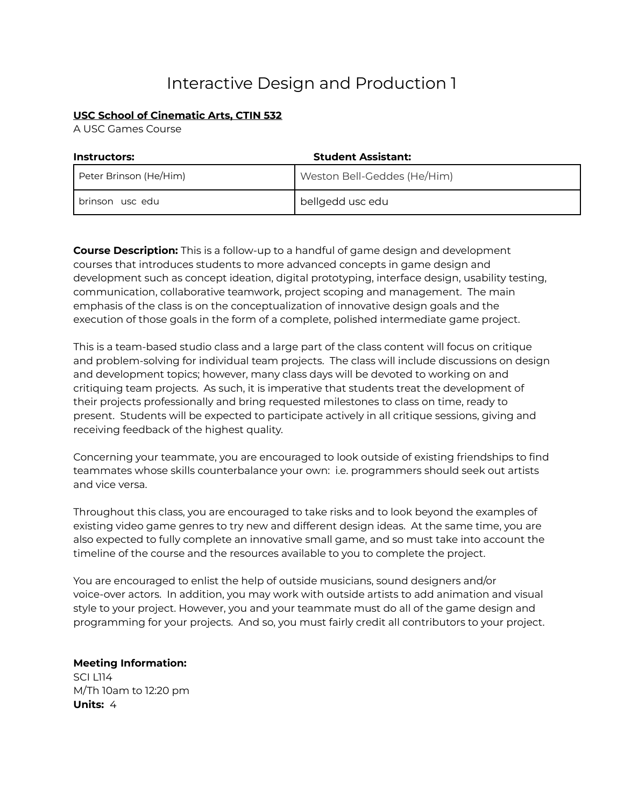# Interactive Design and Production 1

# **USC School of Cinematic Arts, CTIN 532**

A USC Games Course

| <b>Instructors:</b>    | <b>Student Assistant:</b>   |
|------------------------|-----------------------------|
| Peter Brinson (He/Him) | Weston Bell-Geddes (He/Him) |
| brinson usc edu        | bellgedd usc edu            |

**Course Description:** This is a follow-up to a handful of game design and development courses that introduces students to more advanced concepts in game design and development such as concept ideation, digital prototyping, interface design, usability testing, communication, collaborative teamwork, project scoping and management. The main emphasis of the class is on the conceptualization of innovative design goals and the execution of those goals in the form of a complete, polished intermediate game project.

This is a team-based studio class and a large part of the class content will focus on critique and problem-solving for individual team projects. The class will include discussions on design and development topics; however, many class days will be devoted to working on and critiquing team projects. As such, it is imperative that students treat the development of their projects professionally and bring requested milestones to class on time, ready to present. Students will be expected to participate actively in all critique sessions, giving and receiving feedback of the highest quality.

Concerning your teammate, you are encouraged to look outside of existing friendships to find teammates whose skills counterbalance your own: i.e. programmers should seek out artists and vice versa.

Throughout this class, you are encouraged to take risks and to look beyond the examples of existing video game genres to try new and different design ideas. At the same time, you are also expected to fully complete an innovative small game, and so must take into account the timeline of the course and the resources available to you to complete the project.

You are encouraged to enlist the help of outside musicians, sound designers and/or voice-over actors. In addition, you may work with outside artists to add animation and visual style to your project. However, you and your teammate must do all of the game design and programming for your projects. And so, you must fairly credit all contributors to your project.

**Meeting Information:** SCI L114 M/Th 10am to 12:20 pm **Units:** 4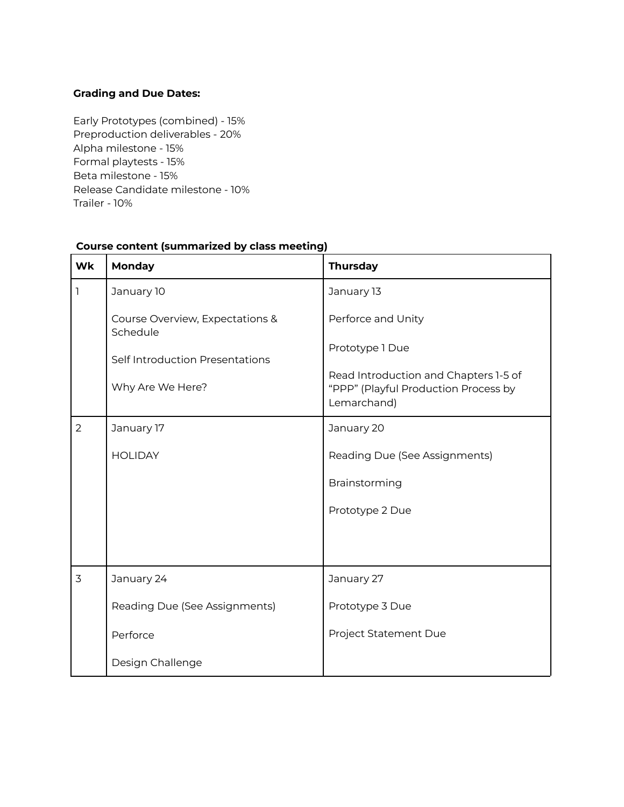# **Grading and Due Dates:**

Early Prototypes (combined) - 15% Preproduction deliverables - 20% Alpha milestone - 15% Formal playtests - 15% Beta milestone - 15% Release Candidate milestone - 10% Trailer - 10%

| Wk             | Monday                                      | <b>Thursday</b>                                                                              |
|----------------|---------------------------------------------|----------------------------------------------------------------------------------------------|
| 1              | January 10                                  | January 13                                                                                   |
|                | Course Overview, Expectations &<br>Schedule | Perforce and Unity                                                                           |
|                | Self Introduction Presentations             | Prototype 1 Due                                                                              |
|                | Why Are We Here?                            | Read Introduction and Chapters 1-5 of<br>"PPP" (Playful Production Process by<br>Lemarchand) |
| $\overline{2}$ | January 17                                  | January 20                                                                                   |
|                | <b>HOLIDAY</b>                              | Reading Due (See Assignments)                                                                |
|                |                                             | Brainstorming                                                                                |
|                |                                             | Prototype 2 Due                                                                              |
|                |                                             |                                                                                              |
| $\overline{3}$ | January 24                                  | January 27                                                                                   |
|                | Reading Due (See Assignments)               | Prototype 3 Due                                                                              |
|                | Perforce                                    | Project Statement Due                                                                        |
|                | Design Challenge                            |                                                                                              |

## **Course content (summarized by class meeting)**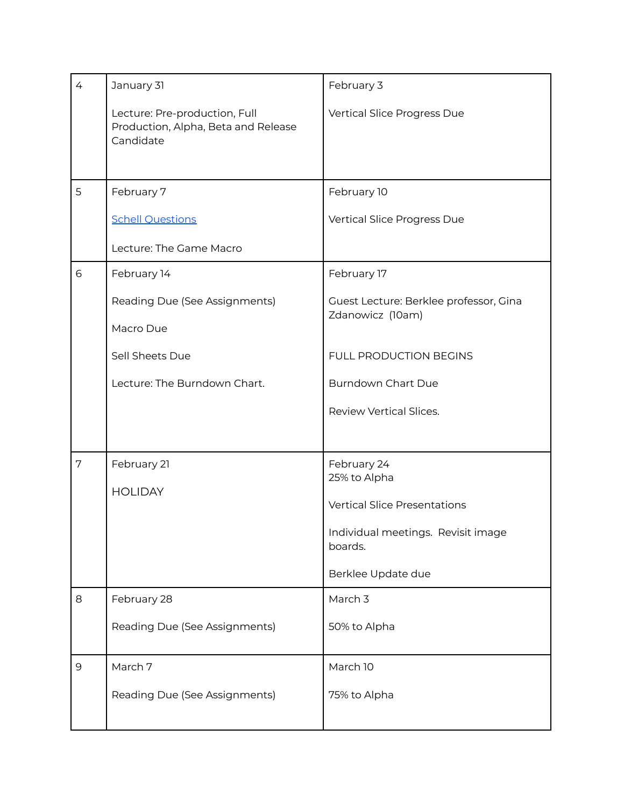| $\overline{4}$ | January 31                                                                        | February 3                                                 |
|----------------|-----------------------------------------------------------------------------------|------------------------------------------------------------|
|                | Lecture: Pre-production, Full<br>Production, Alpha, Beta and Release<br>Candidate | Vertical Slice Progress Due                                |
| 5              | February 7                                                                        | February 10                                                |
|                | <b>Schell Questions</b>                                                           | Vertical Slice Progress Due                                |
|                | Lecture: The Game Macro                                                           |                                                            |
| 6              | February 14                                                                       | February 17                                                |
|                | Reading Due (See Assignments)                                                     | Guest Lecture: Berklee professor, Gina<br>Zdanowicz (10am) |
|                | Macro Due                                                                         |                                                            |
|                | Sell Sheets Due                                                                   | FULL PRODUCTION BEGINS                                     |
|                | Lecture: The Burndown Chart.                                                      | <b>Burndown Chart Due</b>                                  |
|                |                                                                                   | Review Vertical Slices.                                    |
|                |                                                                                   |                                                            |
| $7\phantom{.}$ | February 21                                                                       | February 24<br>25% to Alpha                                |
|                | <b>HOLIDAY</b>                                                                    | <b>Vertical Slice Presentations</b>                        |
|                |                                                                                   | Individual meetings. Revisit image                         |
|                |                                                                                   | boards.                                                    |
|                |                                                                                   | Berklee Update due                                         |
| 8              | February 28                                                                       | March 3                                                    |
|                | Reading Due (See Assignments)                                                     | 50% to Alpha                                               |
| 9              | March 7                                                                           | March 10                                                   |
|                | Reading Due (See Assignments)                                                     | 75% to Alpha                                               |
|                |                                                                                   |                                                            |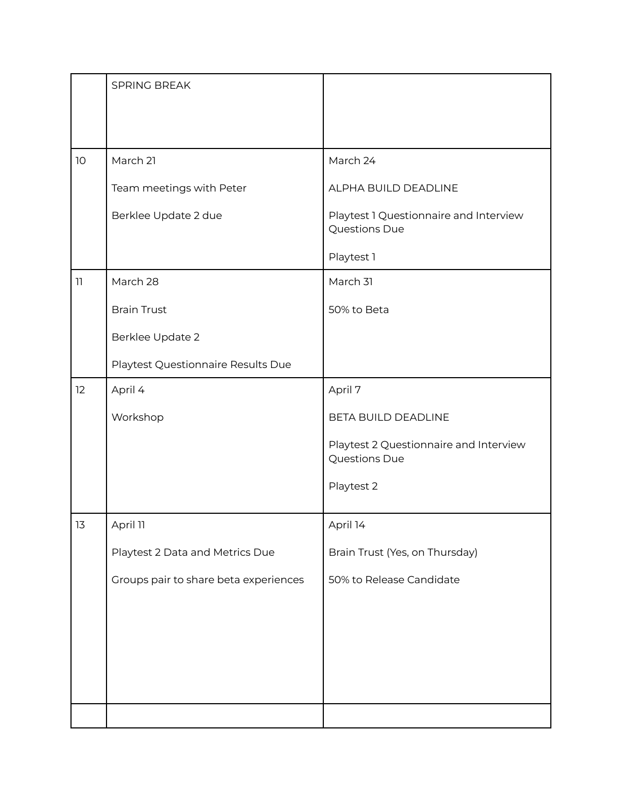|    | SPRING BREAK                          |                                                         |
|----|---------------------------------------|---------------------------------------------------------|
|    |                                       |                                                         |
|    |                                       |                                                         |
| 10 | March 21                              | March 24                                                |
|    | Team meetings with Peter              | ALPHA BUILD DEADLINE                                    |
|    | Berklee Update 2 due                  | Playtest 1 Questionnaire and Interview<br>Questions Due |
|    |                                       | Playtest 1                                              |
| 11 | March 28                              | March 31                                                |
|    | <b>Brain Trust</b>                    | 50% to Beta                                             |
|    | Berklee Update 2                      |                                                         |
|    | Playtest Questionnaire Results Due    |                                                         |
| 12 | April 4                               | April 7                                                 |
|    | Workshop                              | BETA BUILD DEADLINE                                     |
|    |                                       | Playtest 2 Questionnaire and Interview<br>Questions Due |
|    |                                       | Playtest 2                                              |
| 13 | April 11                              | April 14                                                |
|    | Playtest 2 Data and Metrics Due       | Brain Trust (Yes, on Thursday)                          |
|    | Groups pair to share beta experiences | 50% to Release Candidate                                |
|    |                                       |                                                         |
|    |                                       |                                                         |
|    |                                       |                                                         |
|    |                                       |                                                         |
|    |                                       |                                                         |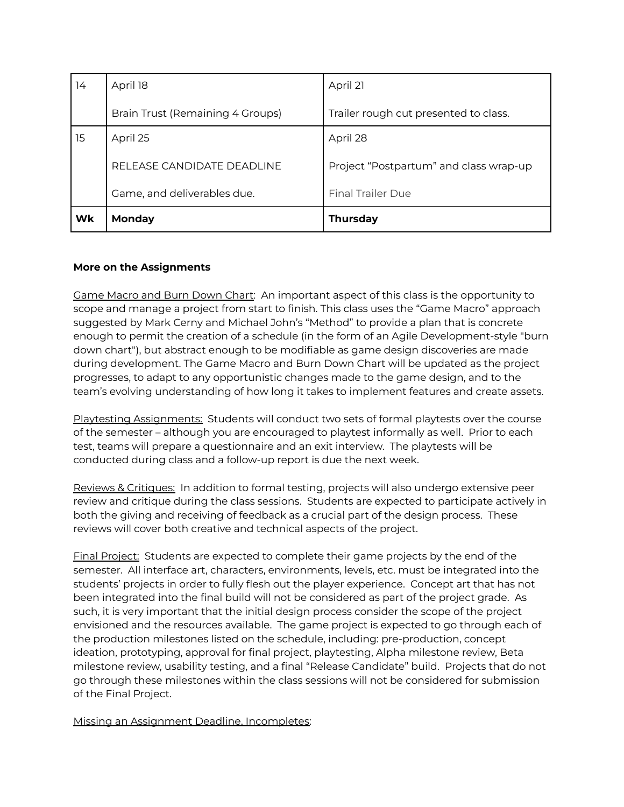| 14 | April 18                         | April 21                               |
|----|----------------------------------|----------------------------------------|
|    | Brain Trust (Remaining 4 Groups) | Trailer rough cut presented to class.  |
| 15 | April 25                         | April 28                               |
|    | RELEASE CANDIDATE DEADLINE       | Project "Postpartum" and class wrap-up |
|    | Game, and deliverables due.      | <b>Final Trailer Due</b>               |
| Wk | <b>Monday</b>                    | <b>Thursday</b>                        |

# **More on the Assignments**

Game Macro and Burn Down Chart: An important aspect of this class is the opportunity to scope and manage a project from start to finish. This class uses the "Game Macro" approach suggested by Mark Cerny and Michael John's "Method" to provide a plan that is concrete enough to permit the creation of a schedule (in the form of an Agile Development-style "burn down chart"), but abstract enough to be modifiable as game design discoveries are made during development. The Game Macro and Burn Down Chart will be updated as the project progresses, to adapt to any opportunistic changes made to the game design, and to the team's evolving understanding of how long it takes to implement features and create assets.

Playtesting Assignments: Students will conduct two sets of formal playtests over the course of the semester – although you are encouraged to playtest informally as well. Prior to each test, teams will prepare a questionnaire and an exit interview. The playtests will be conducted during class and a follow-up report is due the next week.

Reviews & Critiques: In addition to formal testing, projects will also undergo extensive peer review and critique during the class sessions. Students are expected to participate actively in both the giving and receiving of feedback as a crucial part of the design process. These reviews will cover both creative and technical aspects of the project.

Final Project: Students are expected to complete their game projects by the end of the semester. All interface art, characters, environments, levels, etc. must be integrated into the students' projects in order to fully flesh out the player experience. Concept art that has not been integrated into the final build will not be considered as part of the project grade. As such, it is very important that the initial design process consider the scope of the project envisioned and the resources available. The game project is expected to go through each of the production milestones listed on the schedule, including: pre-production, concept ideation, prototyping, approval for final project, playtesting, Alpha milestone review, Beta milestone review, usability testing, and a final "Release Candidate" build. Projects that do not go through these milestones within the class sessions will not be considered for submission of the Final Project.

Missing an Assignment Deadline, Incompletes: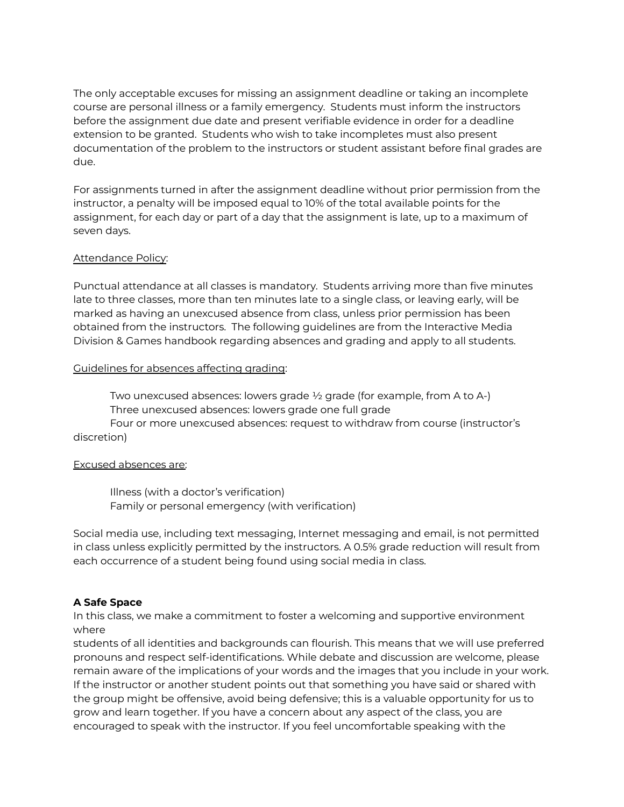The only acceptable excuses for missing an assignment deadline or taking an incomplete course are personal illness or a family emergency. Students must inform the instructors before the assignment due date and present verifiable evidence in order for a deadline extension to be granted. Students who wish to take incompletes must also present documentation of the problem to the instructors or student assistant before final grades are due.

For assignments turned in after the assignment deadline without prior permission from the instructor, a penalty will be imposed equal to 10% of the total available points for the assignment, for each day or part of a day that the assignment is late, up to a maximum of seven days.

## Attendance Policy:

Punctual attendance at all classes is mandatory. Students arriving more than five minutes late to three classes, more than ten minutes late to a single class, or leaving early, will be marked as having an unexcused absence from class, unless prior permission has been obtained from the instructors. The following guidelines are from the Interactive Media Division & Games handbook regarding absences and grading and apply to all students.

#### Guidelines for absences affecting grading:

Two unexcused absences: lowers grade ½ grade (for example, from A to A-) Three unexcused absences: lowers grade one full grade

Four or more unexcused absences: request to withdraw from course (instructor's discretion)

#### Excused absences are:

Illness (with a doctor's verification) Family or personal emergency (with verification)

Social media use, including text messaging, Internet messaging and email, is not permitted in class unless explicitly permitted by the instructors. A 0.5% grade reduction will result from each occurrence of a student being found using social media in class.

## **A Safe Space**

In this class, we make a commitment to foster a welcoming and supportive environment where

students of all identities and backgrounds can flourish. This means that we will use preferred pronouns and respect self-identifications. While debate and discussion are welcome, please remain aware of the implications of your words and the images that you include in your work. If the instructor or another student points out that something you have said or shared with the group might be offensive, avoid being defensive; this is a valuable opportunity for us to grow and learn together. If you have a concern about any aspect of the class, you are encouraged to speak with the instructor. If you feel uncomfortable speaking with the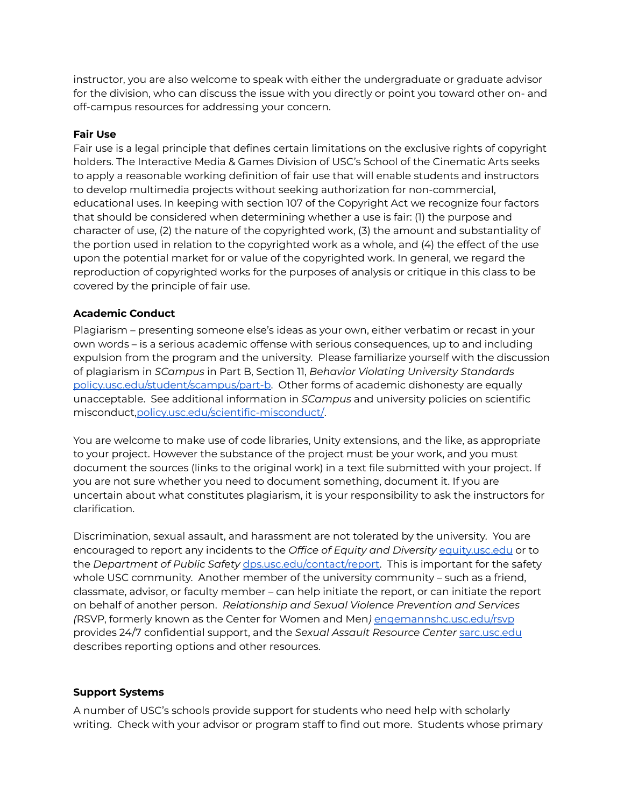instructor, you are also welcome to speak with either the undergraduate or graduate advisor for the division, who can discuss the issue with you directly or point you toward other on- and off-campus resources for addressing your concern.

## **Fair Use**

Fair use is a legal principle that defines certain limitations on the exclusive rights of copyright holders. The Interactive Media & Games Division of USC's School of the Cinematic Arts seeks to apply a reasonable working definition of fair use that will enable students and instructors to develop multimedia projects without seeking authorization for non-commercial, educational uses. In keeping with section 107 of the Copyright Act we recognize four factors that should be considered when determining whether a use is fair: (1) the purpose and character of use, (2) the nature of the copyrighted work, (3) the amount and substantiality of the portion used in relation to the copyrighted work as a whole, and (4) the effect of the use upon the potential market for or value of the copyrighted work. In general, we regard the reproduction of copyrighted works for the purposes of analysis or critique in this class to be covered by the principle of fair use.

# **Academic Conduct**

Plagiarism – presenting someone else's ideas as your own, either verbatim or recast in your own words – is a serious academic offense with serious consequences, up to and including expulsion from the program and the university. Please familiarize yourself with the discussion of plagiarism in *SCampus* in Part B, Section 11, *Behavior Violating University Standards* [policy.usc.edu/student/scampus/part-b.](https://policy.usc.edu/student/scampus/part-b/) Other forms of academic dishonesty are equally unacceptable. See additional information in *SCampus* and university policies on scientific misconduct[,policy.usc.edu/scientific-misconduct/](http://policy.usc.edu/scientific-misconduct/).

You are welcome to make use of code libraries, Unity extensions, and the like, as appropriate to your project. However the substance of the project must be your work, and you must document the sources (links to the original work) in a text file submitted with your project. If you are not sure whether you need to document something, document it. If you are uncertain about what constitutes plagiarism, it is your responsibility to ask the instructors for clarification.

Discrimination, sexual assault, and harassment are not tolerated by the university. You are encouraged to report any incidents to the *Office of Equity and Diversity* [equity.usc.edu](http://equity.usc.edu/) or to the *Department of Public Safety* [dps.usc.edu/contact/report.](http://dps.usc.edu/contact/report/) This is important for the safety whole USC community. Another member of the university community – such as a friend, classmate, advisor, or faculty member – can help initiate the report, or can initiate the report on behalf of another person. *Relationship and Sexual Violence Prevention and Services (*RSVP, formerly known as the Center for Women and Men*)* [engemannshc.usc.edu/rsvp](https://engemannshc.usc.edu/rsvp/) provides 24/7 confidential support, and the *Sexual Assault Resource Center* [sarc.usc.edu](https://sarc.usc.edu/) describes reporting options and other resources.

# **Support Systems**

A number of USC's schools provide support for students who need help with scholarly writing. Check with your advisor or program staff to find out more. Students whose primary